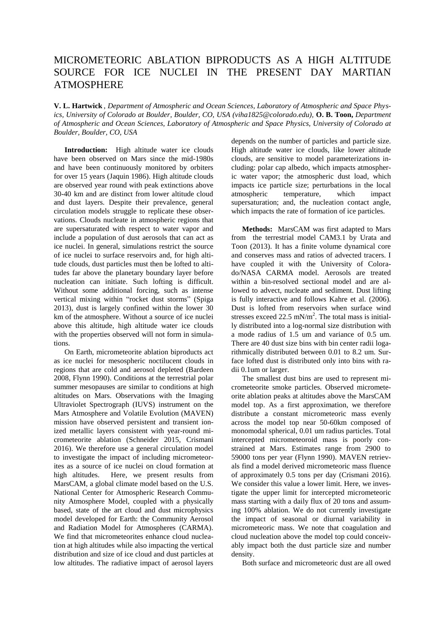## MICROMETEORIC ABLATION BIPRODUCTS AS A HIGH ALTITUDE SOURCE FOR ICE NUCLEI IN THE PRESENT DAY MARTIAN ATMOSPHERE

**V. L. Hartwick** , *Department of Atmospheric and Ocean Sciences, Laboratory of Atmospheric and Space Physics, University of Colorado at Boulder, Boulder, CO, USA (viha1825@colorado.edu),* **O. B. Toon,** *Department of Atmospheric and Ocean Sciences, Laboratory of Atmospheric and Space Physics, University of Colorado at Boulder, Boulder, CO, USA* 

**Introduction:** High altitude water ice clouds have been observed on Mars since the mid-1980s and have been continuously monitored by orbiters for over 15 years (Jaquin 1986). High altitude clouds are observed year round with peak extinctions above 30-40 km and are distinct from lower altitude cloud and dust layers. Despite their prevalence, general circulation models struggle to replicate these observations. Clouds nucleate in atmospheric regions that are supersaturated with respect to water vapor and include a population of dust aerosols that can act as ice nuclei. In general, simulations restrict the source of ice nuclei to surface reservoirs and, for high altitude clouds, dust particles must then be lofted to altitudes far above the planetary boundary layer before nucleation can initiate. Such lofting is difficult. Without some additional forcing, such as intense vertical mixing within "rocket dust storms" (Spiga 2013), dust is largely confined within the lower 30 km of the atmosphere. Without a source of ice nuclei above this altitude, high altitude water ice clouds with the properties observed will not form in simulations.

On Earth, micrometeorite ablation biproducts act as ice nuclei for mesospheric noctilucent clouds in regions that are cold and aerosol depleted (Bardeen 2008, Flynn 1990). Conditions at the terrestrial polar summer mesopauses are similar to conditions at high altitudes on Mars. Observations with the Imaging Ultraviolet Spectrograph (IUVS) instrument on the Mars Atmosphere and Volatile Evolution (MAVEN) mission have observed persistent and transient ionized metallic layers consistent with year-round micrometeorite ablation (Schneider 2015, Crismani 2016). We therefore use a general circulation model to investigate the impact of including micrometeorites as a source of ice nuclei on cloud formation at high altitudes. Here, we present results from MarsCAM, a global climate model based on the U.S. National Center for Atmospheric Research Community Atmosphere Model, coupled with a physically based, state of the art cloud and dust microphysics model developed for Earth: the Community Aerosol and Radiation Model for Atmospheres (CARMA). We find that micrometeorites enhance cloud nucleation at high altitudes while also impacting the vertical distribution and size of ice cloud and dust particles at low altitudes. The radiative impact of aerosol layers

depends on the number of particles and particle size. High altitude water ice clouds, like lower altitude clouds, are sensitive to model parameterizations including: polar cap albedo, which impacts atmospheric water vapor; the atmospheric dust load, which impacts ice particle size; perturbations in the local<br>atmospheric temperature, which impact temperature, which impact supersaturation; and, the nucleation contact angle, which impacts the rate of formation of ice particles.

**Methods:** MarsCAM was first adapted to Mars from the terrestrial model CAM3.1 by Urata and Toon (2013). It has a finite volume dynamical core and conserves mass and ratios of advected tracers. I have coupled it with the University of Colorado/NASA CARMA model. Aerosols are treated within a bin-resolved sectional model and are allowed to advect, nucleate and sediment. Dust lifting is fully interactive and follows Kahre et al. (2006). Dust is lofted from reservoirs when surface wind stresses exceed 22.5 mN/m<sup>2</sup>. The total mass is initially distributed into a log-normal size distribution with a mode radius of 1.5 um and variance of 0.5 um. There are 40 dust size bins with bin center radii logarithmically distributed between 0.01 to 8.2 um. Surface lofted dust is distributed only into bins with radii 0.1um or larger.

The smallest dust bins are used to represent micrometeorite smoke particles. Observed micrometeorite ablation peaks at altitudes above the MarsCAM model top. As a first approximation, we therefore distribute a constant micrometeoric mass evenly across the model top near 50-60km composed of monomodal spherical, 0.01 um radius particles. Total intercepted micrometeoroid mass is poorly constrained at Mars. Estimates range from 2900 to 59000 tons per year (Flynn 1990). MAVEN retrievals find a model derived micrometeoric mass fluence of approximately 0.5 tons per day (Crismani 2016). We consider this value a lower limit. Here, we investigate the upper limit for intercepted micrometeoric mass starting with a daily flux of 20 tons and assuming 100% ablation. We do not currently investigate the impact of seasonal or diurnal variability in micrometeoric mass. We note that coagulation and cloud nucleation above the model top could conceivably impact both the dust particle size and number density.

Both surface and micrometeoric dust are all owed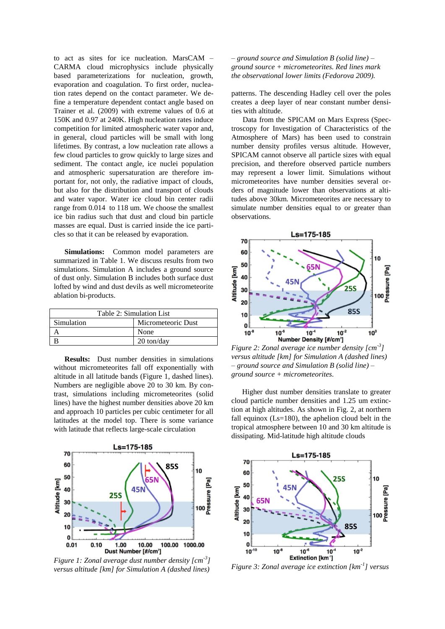to act as sites for ice nucleation. MarsCAM – CARMA cloud microphysics include physically based parameterizations for nucleation, growth, evaporation and coagulation. To first order, nucleation rates depend on the contact parameter. We define a temperature dependent contact angle based on Trainer et al. (2009) with extreme values of 0.6 at 150K and 0.97 at 240K. High nucleation rates induce competition for limited atmospheric water vapor and, in general, cloud particles will be small with long lifetimes. By contrast, a low nucleation rate allows a few cloud particles to grow quickly to large sizes and sediment. The contact angle, ice nuclei population and atmospheric supersaturation are therefore important for, not only, the radiative impact of clouds, but also for the distribution and transport of clouds and water vapor. Water ice cloud bin center radii range from 0.014 to 118 um. We choose the smallest ice bin radius such that dust and cloud bin particle masses are equal. Dust is carried inside the ice particles so that it can be released by evaporation.

**Simulations:** Common model parameters are summarized in Table 1. We discuss results from two simulations. Simulation A includes a ground source of dust only. Simulation B includes both surface dust lofted by wind and dust devils as well micrometeorite ablation bi-products.

| Table 2: Simulation List |                      |
|--------------------------|----------------------|
| Simulation               | Micrometeoric Dust   |
|                          | None                 |
|                          | $20 \text{ ton/day}$ |

**Results:** Dust number densities in simulations without micrometeorites fall off exponentially with altitude in all latitude bands (Figure 1, dashed lines). Numbers are negligible above 20 to 30 km. By contrast, simulations including micrometeorites (solid lines) have the highest number densities above 20 km and approach 10 particles per cubic centimeter for all latitudes at the model top. There is some variance with latitude that reflects large-scale circulation



*Figure 1: Zonal average dust number density [cm-3 ] versus altitude [km] for Simulation A (dashed lines)* 

*– ground source and Simulation B (solid line) – ground source + micrometeorites. Red lines mark the observational lower limits (Fedorova 2009).*

patterns. The descending Hadley cell over the poles creates a deep layer of near constant number densities with altitude.

 Data from the SPICAM on Mars Express (Spectroscopy for Investigation of Characteristics of the Atmosphere of Mars) has been used to constrain number density profiles versus altitude. However, SPICAM cannot observe all particle sizes with equal precision, and therefore observed particle numbers may represent a lower limit. Simulations without micrometeorites have number densities several orders of magnitude lower than observations at altitudes above 30km. Micrometeorites are necessary to simulate number densities equal to or greater than observations.



*Figure 2: Zonal average ice number density [cm-3 ] versus altitude [km] for Simulation A (dashed lines) – ground source and Simulation B (solid line) – ground source + micrometeorites.*

Higher dust number densities translate to greater cloud particle number densities and 1.25 um extinction at high altitudes. As shown in Fig. 2, at northern fall equinox  $(Ls=180)$ , the aphelion cloud belt in the tropical atmosphere between 10 and 30 km altitude is dissipating. Mid-latitude high altitude clouds



*Figure 3: Zonal average ice extinction [km-1 ] versus*